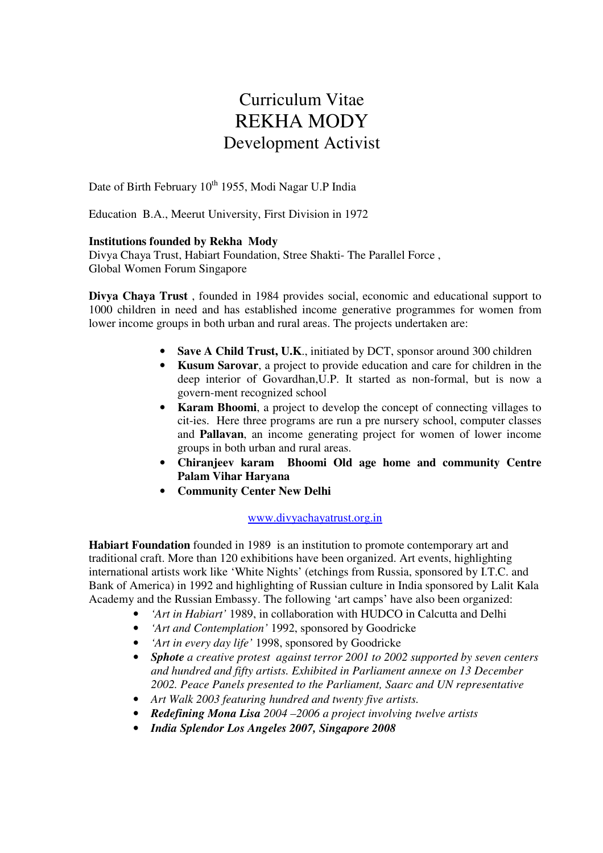# Curriculum Vitae REKHA MODY Development Activist

Date of Birth February 10<sup>th</sup> 1955, Modi Nagar U.P India

Education B.A., Meerut University, First Division in 1972

# **Institutions founded by Rekha Mody**

Divya Chaya Trust, Habiart Foundation, Stree Shakti- The Parallel Force , Global Women Forum Singapore

**Divya Chaya Trust** , founded in 1984 provides social, economic and educational support to 1000 children in need and has established income generative programmes for women from lower income groups in both urban and rural areas. The projects undertaken are:

- **Save A Child Trust, U.K.**, initiated by DCT, sponsor around 300 children
- **Kusum Sarovar**, a project to provide education and care for children in the deep interior of Govardhan,U.P. It started as non-formal, but is now a govern-ment recognized school
- **Karam Bhoomi.** a project to develop the concept of connecting villages to cit-ies. Here three programs are run a pre nursery school, computer classes and **Pallavan**, an income generating project for women of lower income groups in both urban and rural areas.
- **Chiranjeev karam Bhoomi Old age home and community Centre Palam Vihar Haryana**
- **Community Center New Delhi**

# www.divyachayatrust.org.in

**Habiart Foundation** founded in 1989 is an institution to promote contemporary art and traditional craft. More than 120 exhibitions have been organized. Art events, highlighting international artists work like 'White Nights' (etchings from Russia, sponsored by I.T.C. and Bank of America) in 1992 and highlighting of Russian culture in India sponsored by Lalit Kala Academy and the Russian Embassy. The following 'art camps' have also been organized:

- *'Art in Habiart'* 1989, in collaboration with HUDCO in Calcutta and Delhi
- *'Art and Contemplation'* 1992, sponsored by Goodricke
- *'Art in every day life'* 1998, sponsored by Goodricke
- *Sphote a creative protest against terror 2001 to 2002 supported by seven centers and hundred and fifty artists. Exhibited in Parliament annexe on 13 December 2002. Peace Panels presented to the Parliament, Saarc and UN representative*
- *Art Walk 2003 featuring hundred and twenty five artists.*
- *Redefining Mona Lisa 2004 –2006 a project involving twelve artists*
- *India Splendor Los Angeles 2007, Singapore 2008*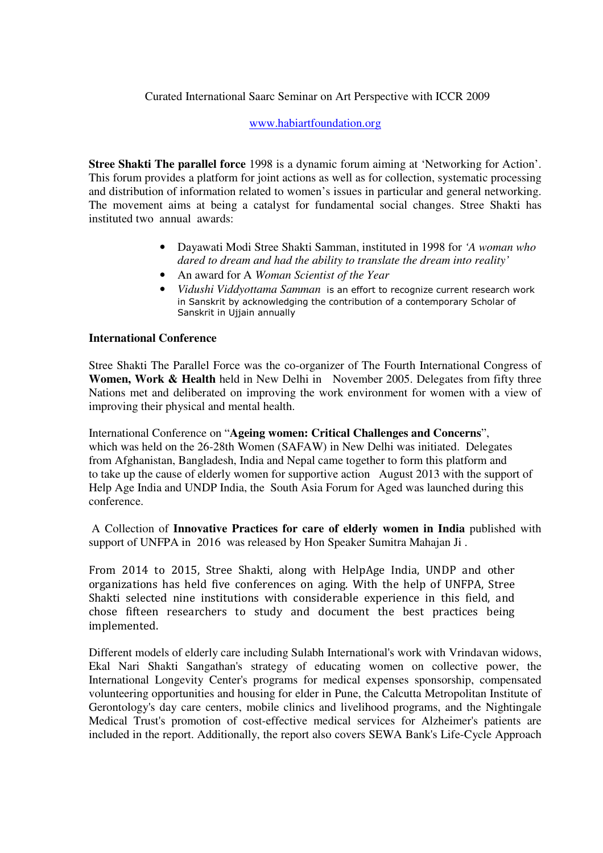# Curated International Saarc Seminar on Art Perspective with ICCR 2009

### www.habiartfoundation.org

**Stree Shakti The parallel force** 1998 is a dynamic forum aiming at 'Networking for Action'. This forum provides a platform for joint actions as well as for collection, systematic processing and distribution of information related to women's issues in particular and general networking. The movement aims at being a catalyst for fundamental social changes. Stree Shakti has instituted two annual awards:

- Dayawati Modi Stree Shakti Samman, instituted in 1998 for *'A woman who dared to dream and had the ability to translate the dream into reality'*
- An award for A *Woman Scientist of the Year*
- *Vidushi Viddyottama Samman* is an effort to recognize current research work in Sanskrit by acknowledging the contribution of a contemporary Scholar of Sanskrit in Ujjain annually

### **International Conference**

Stree Shakti The Parallel Force was the co-organizer of The Fourth International Congress of **Women, Work & Health** held in New Delhi in November 2005. Delegates from fifty three Nations met and deliberated on improving the work environment for women with a view of improving their physical and mental health.

International Conference on "**Ageing women: Critical Challenges and Concerns**", which was held on the 26-28th Women (SAFAW) in New Delhi was initiated. Delegates from Afghanistan, Bangladesh, India and Nepal came together to form this platform and to take up the cause of elderly women for supportive action August 2013 with the support of Help Age India and UNDP India, the South Asia Forum for Aged was launched during this conference.

 A Collection of **Innovative Practices for care of elderly women in India** published with support of UNFPA in 2016 was released by Hon Speaker Sumitra Mahajan Ji .

From 2014 to 2015, Stree Shakti, along with HelpAge India, UNDP and other organizations has held five conferences on aging. With the help of UNFPA, Stree Shakti selected nine institutions with considerable experience in this field, and chose fifteen researchers to study and document the best practices being implemented.

Different models of elderly care including Sulabh International's work with Vrindavan widows, Ekal Nari Shakti Sangathan's strategy of educating women on collective power, the International Longevity Center's programs for medical expenses sponsorship, compensated volunteering opportunities and housing for elder in Pune, the Calcutta Metropolitan Institute of Gerontology's day care centers, mobile clinics and livelihood programs, and the Nightingale Medical Trust's promotion of cost-effective medical services for Alzheimer's patients are included in the report. Additionally, the report also covers SEWA Bank's Life-Cycle Approach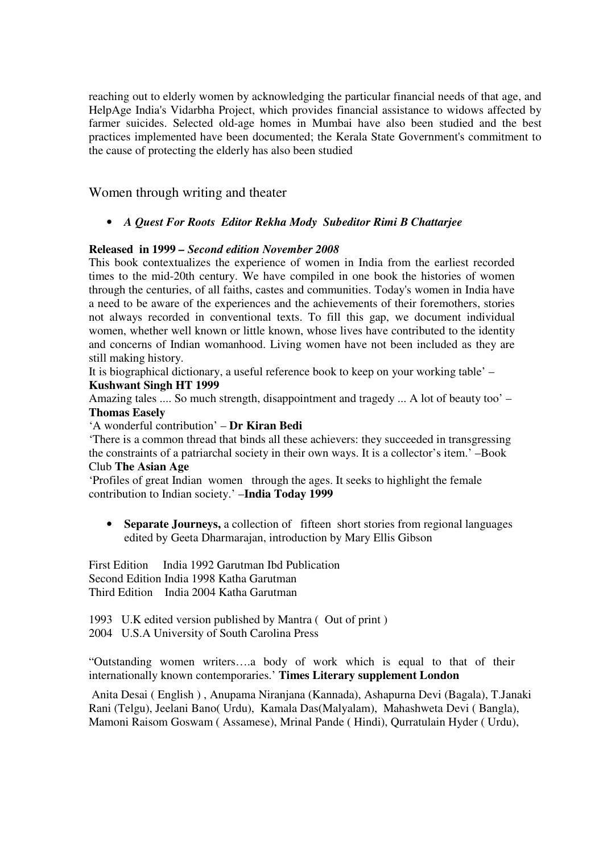reaching out to elderly women by acknowledging the particular financial needs of that age, and HelpAge India's Vidarbha Project, which provides financial assistance to widows affected by farmer suicides. Selected old-age homes in Mumbai have also been studied and the best practices implemented have been documented; the Kerala State Government's commitment to the cause of protecting the elderly has also been studied

Women through writing and theater

# • *A Quest For Roots Editor Rekha Mody Subeditor Rimi B Chattarjee*

# **Released in 1999** *– Second edition November 2008*

This book contextualizes the experience of women in India from the earliest recorded times to the mid-20th century. We have compiled in one book the histories of women through the centuries, of all faiths, castes and communities. Today's women in India have a need to be aware of the experiences and the achievements of their foremothers, stories not always recorded in conventional texts. To fill this gap, we document individual women, whether well known or little known, whose lives have contributed to the identity and concerns of Indian womanhood. Living women have not been included as they are still making history.

It is biographical dictionary, a useful reference book to keep on your working table' – **Kushwant Singh HT 1999** 

Amazing tales .... So much strength, disappointment and tragedy ... A lot of beauty too' – **Thomas Easely** 

'A wonderful contribution' – **Dr Kiran Bedi** 

'There is a common thread that binds all these achievers: they succeeded in transgressing the constraints of a patriarchal society in their own ways. It is a collector's item.' –Book Club **The Asian Age**

'Profiles of great Indian women through the ages. It seeks to highlight the female contribution to Indian society.' –**India Today 1999** 

• **Separate Journeys,** a collection of fifteen short stories from regional languages edited by Geeta Dharmarajan, introduction by Mary Ellis Gibson

First Edition India 1992 Garutman Ibd Publication Second Edition India 1998 Katha Garutman Third Edition India 2004 Katha Garutman

1993 U.K edited version published by Mantra ( Out of print )

2004 U.S.A University of South Carolina Press

"Outstanding women writers….a body of work which is equal to that of their internationally known contemporaries.' **Times Literary supplement London** 

 Anita Desai ( English ) , Anupama Niranjana (Kannada), Ashapurna Devi (Bagala), T.Janaki Rani (Telgu), Jeelani Bano( Urdu), Kamala Das(Malyalam), Mahashweta Devi ( Bangla), Mamoni Raisom Goswam ( Assamese), Mrinal Pande ( Hindi), Qurratulain Hyder ( Urdu),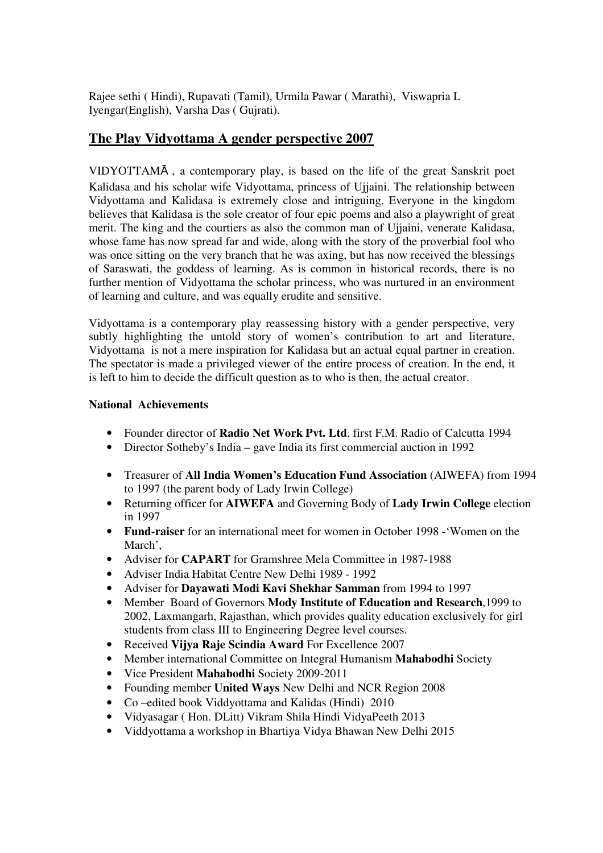Rajee sethi ( Hindi), Rupavati (Tamil), Urmila Pawar ( Marathi), Viswapria L Iyengar(English), Varsha Das ( Gujrati).

# **The Play Vidyottama A gender perspective 2007**

VIDYOTTAMᾹ , a contemporary play, is based on the life of the great Sanskrit poet Kalidasa and his scholar wife Vidvottama, princess of Ujiaini. The relationship between Vidyottama and Kalidasa is extremely close and intriguing. Everyone in the kingdom believes that Kalidasa is the sole creator of four epic poems and also a playwright of great merit. The king and the courtiers as also the common man of Ujjaini, venerate Kalidasa, whose fame has now spread far and wide, along with the story of the proverbial fool who was once sitting on the very branch that he was axing, but has now received the blessings of Saraswati, the goddess of learning. As is common in historical records, there is no further mention of Vidyottama the scholar princess, who was nurtured in an environment of learning and culture, and was equally erudite and sensitive.

Vidyottama is a contemporary play reassessing history with a gender perspective, very subtly highlighting the untold story of women's contribution to art and literature. Vidyottama is not a mere inspiration for Kalidasa but an actual equal partner in creation. The spectator is made a privileged viewer of the entire process of creation. In the end, it is left to him to decide the difficult question as to who is then, the actual creator.

# **National Achievements**

- Founder director of **Radio Net Work Pvt. Ltd**. first F.M. Radio of Calcutta 1994
- Director Sotheby's India gave India its first commercial auction in 1992
- Treasurer of **All India Women's Education Fund Association** (AIWEFA) from 1994 to 1997 (the parent body of Lady Irwin College)
- Returning officer for **AIWEFA** and Governing Body of **Lady Irwin College** election in 1997
- **Fund-raiser** for an international meet for women in October 1998 -'Women on the March',
- Adviser for **CAPART** for Gramshree Mela Committee in 1987-1988
- Adviser India Habitat Centre New Delhi 1989 1992
- Adviser for **Dayawati Modi Kavi Shekhar Samman** from 1994 to 1997
- Member Board of Governors **Mody Institute of Education and Research**,1999 to 2002, Laxmangarh, Rajasthan, which provides quality education exclusively for girl students from class III to Engineering Degree level courses.
- Received **Vijya Raje Scindia Award** For Excellence 2007
- Member international Committee on Integral Humanism **Mahabodhi** Society
- Vice President **Mahabodhi** Society 2009-2011
- Founding member **United Ways** New Delhi and NCR Region 2008
- Co –edited book Viddyottama and Kalidas (Hindi) 2010
- Vidyasagar ( Hon. DLitt) Vikram Shila Hindi VidyaPeeth 2013
- Viddyottama a workshop in Bhartiya Vidya Bhawan New Delhi 2015